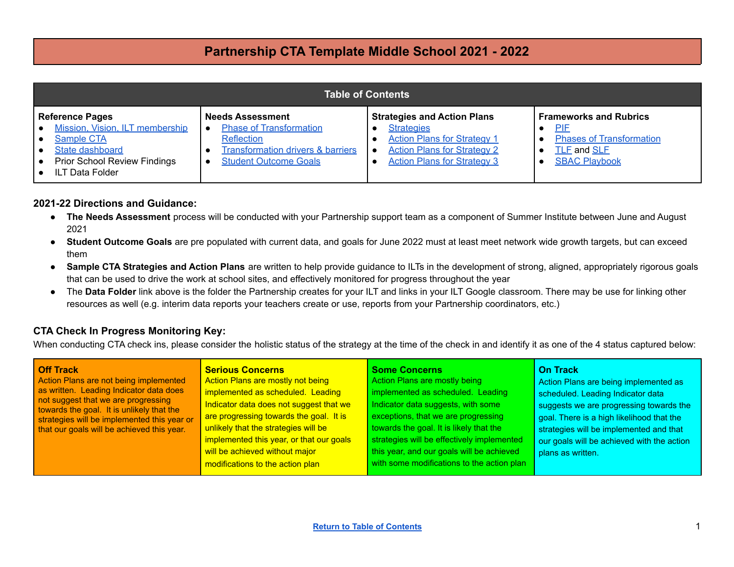<span id="page-0-0"></span>

| <b>Table of Contents</b>                                                                                                                                                                                        |                                                                                                                                                         |                                                                                                                                                                           |                                                                                                                              |  |  |
|-----------------------------------------------------------------------------------------------------------------------------------------------------------------------------------------------------------------|---------------------------------------------------------------------------------------------------------------------------------------------------------|---------------------------------------------------------------------------------------------------------------------------------------------------------------------------|------------------------------------------------------------------------------------------------------------------------------|--|--|
| <b>Reference Pages</b><br>Mission, Vision, ILT membership<br>$\bullet$<br>Sample CTA<br>$\bullet$<br><b>State dashboard</b><br>$\bullet$<br><b>Prior School Review Findings</b><br>∣∙<br><b>ILT Data Folder</b> | <b>Needs Assessment</b><br><b>Phase of Transformation</b><br>Reflection<br><b>Transformation drivers &amp; barriers</b><br><b>Student Outcome Goals</b> | <b>Strategies and Action Plans</b><br><b>Strategies</b><br><b>Action Plans for Strategy 1</b><br><b>Action Plans for Strategy 2</b><br><b>Action Plans for Strategy 3</b> | <b>Frameworks and Rubrics</b><br><b>PIF</b><br><b>Phases of Transformation</b><br><b>TLE and SLE</b><br><b>SBAC Playbook</b> |  |  |

#### **2021-22 Directions and Guidance:**

- **The Needs Assessment** process will be conducted with your Partnership support team as a component of Summer Institute between June and August 2021
- **● Student Outcome Goals** are pre populated with current data, and goals for June 2022 must at least meet network wide growth targets, but can exceed them
- **Sample CTA Strategies and Action Plans** are written to help provide guidance to ILTs in the development of strong, aligned, appropriately rigorous goals that can be used to drive the work at school sites, and effectively monitored for progress throughout the year
- The **Data Folder** link above is the folder the Partnership creates for your ILT and links in your ILT Google classroom. There may be use for linking other resources as well (e.g. interim data reports your teachers create or use, reports from your Partnership coordinators, etc.)

#### **CTA Check In Progress Monitoring Key:**

When conducting CTA check ins, please consider the holistic status of the strategy at the time of the check in and identify it as one of the 4 status captured below:

| <b>Off Track</b><br>Action Plans are not being implemented<br>as written. Leading Indicator data does<br>not suggest that we are progressing<br>towards the goal. It is unlikely that the<br>strategies will be implemented this year or<br>that our goals will be achieved this year. | <b>Serious Concerns</b><br>Action Plans are mostly not being<br>implemented as scheduled. Leading<br>Indicator data does not suggest that we<br>are progressing towards the goal. It is<br>unlikely that the strategies will be<br>implemented this year, or that our goals<br>will be achieved without major<br>modifications to the action plan | <b>Some Concerns</b><br>Action Plans are mostly being<br>implemented as scheduled. Leading<br>Indicator data suggests, with some<br>exceptions, that we are progressing<br>towards the goal. It is likely that the<br>strategies will be effectively implemented<br>this year, and our goals will be achieved<br>with some modifications to the action plan | <b>On Track</b><br>Action Plans are being implemented as<br>scheduled. Leading Indicator data<br>suggests we are progressing towards the<br>goal. There is a high likelihood that the<br>strategies will be implemented and that<br>our goals will be achieved with the action<br>plans as written. |
|----------------------------------------------------------------------------------------------------------------------------------------------------------------------------------------------------------------------------------------------------------------------------------------|---------------------------------------------------------------------------------------------------------------------------------------------------------------------------------------------------------------------------------------------------------------------------------------------------------------------------------------------------|-------------------------------------------------------------------------------------------------------------------------------------------------------------------------------------------------------------------------------------------------------------------------------------------------------------------------------------------------------------|-----------------------------------------------------------------------------------------------------------------------------------------------------------------------------------------------------------------------------------------------------------------------------------------------------|
|----------------------------------------------------------------------------------------------------------------------------------------------------------------------------------------------------------------------------------------------------------------------------------------|---------------------------------------------------------------------------------------------------------------------------------------------------------------------------------------------------------------------------------------------------------------------------------------------------------------------------------------------------|-------------------------------------------------------------------------------------------------------------------------------------------------------------------------------------------------------------------------------------------------------------------------------------------------------------------------------------------------------------|-----------------------------------------------------------------------------------------------------------------------------------------------------------------------------------------------------------------------------------------------------------------------------------------------------|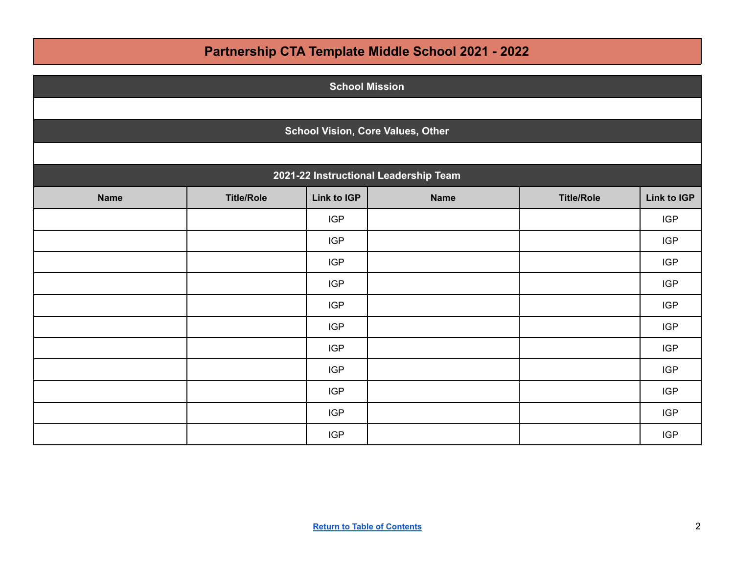| <b>School Mission</b> |                                          |             |                                       |                   |             |  |
|-----------------------|------------------------------------------|-------------|---------------------------------------|-------------------|-------------|--|
|                       |                                          |             |                                       |                   |             |  |
|                       | <b>School Vision, Core Values, Other</b> |             |                                       |                   |             |  |
|                       |                                          |             |                                       |                   |             |  |
|                       |                                          |             | 2021-22 Instructional Leadership Team |                   |             |  |
| <b>Name</b>           | <b>Title/Role</b>                        | Link to IGP | <b>Name</b>                           | <b>Title/Role</b> | Link to IGP |  |
|                       |                                          | <b>IGP</b>  |                                       |                   | <b>IGP</b>  |  |
|                       |                                          | <b>IGP</b>  |                                       |                   | <b>IGP</b>  |  |
|                       |                                          | <b>IGP</b>  |                                       |                   | <b>IGP</b>  |  |
|                       |                                          | <b>IGP</b>  |                                       |                   | <b>IGP</b>  |  |
|                       |                                          | <b>IGP</b>  |                                       |                   | <b>IGP</b>  |  |
|                       |                                          | <b>IGP</b>  |                                       |                   | <b>IGP</b>  |  |
|                       |                                          | <b>IGP</b>  |                                       |                   | <b>IGP</b>  |  |
|                       |                                          | <b>IGP</b>  |                                       |                   | <b>IGP</b>  |  |
|                       |                                          | <b>IGP</b>  |                                       |                   | <b>IGP</b>  |  |
|                       |                                          | <b>IGP</b>  |                                       |                   | <b>IGP</b>  |  |
|                       |                                          | <b>IGP</b>  |                                       |                   | <b>IGP</b>  |  |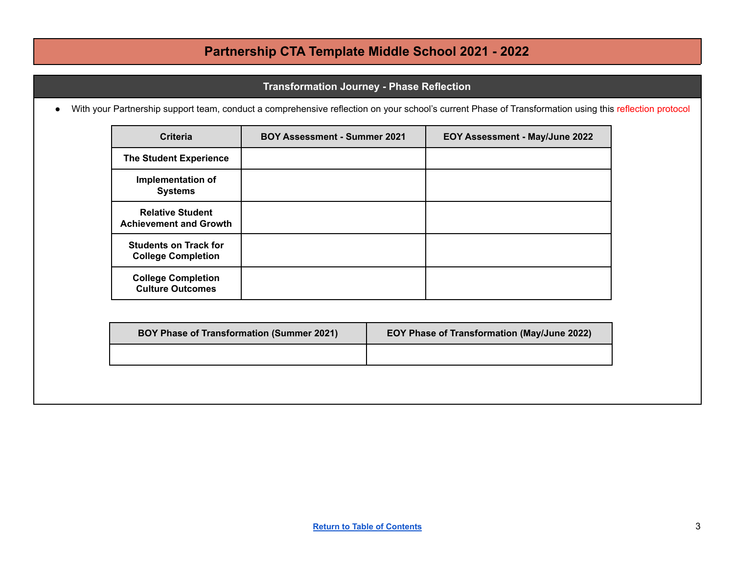#### **Transformation Journey - Phase Reflection**

<span id="page-2-0"></span>● With your Partnership support team, conduct a comprehensive reflection on your school's current Phase of Transformation using this reflection protocol

| Criteria                                                  | <b>BOY Assessment - Summer 2021</b> | EOY Assessment - May/June 2022 |
|-----------------------------------------------------------|-------------------------------------|--------------------------------|
| <b>The Student Experience</b>                             |                                     |                                |
| <b>Implementation of</b><br><b>Systems</b>                |                                     |                                |
| <b>Relative Student</b><br><b>Achievement and Growth</b>  |                                     |                                |
| <b>Students on Track for</b><br><b>College Completion</b> |                                     |                                |
| <b>College Completion</b><br><b>Culture Outcomes</b>      |                                     |                                |

| <b>BOY Phase of Transformation (Summer 2021)</b> | EOY Phase of Transformation (May/June 2022) |
|--------------------------------------------------|---------------------------------------------|
|                                                  |                                             |
|                                                  |                                             |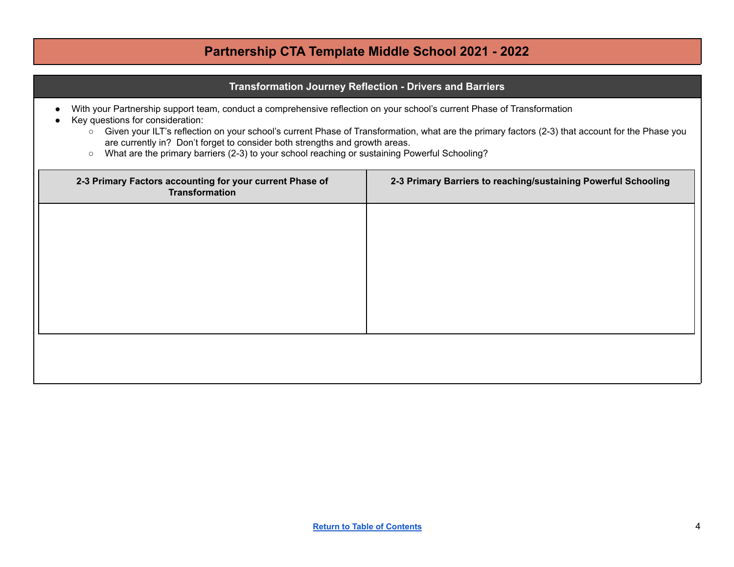#### **Transformation Journey Reflection - Drivers and Barriers**

- With your Partnership support team, conduct a comprehensive reflection on your school's current Phase of Transformation
- Key questions for consideration:
	- Given your ILT's reflection on your school's current Phase of Transformation, what are the primary factors (2-3) that account for the Phase you are currently in? Don't forget to consider both strengths and growth areas.
	- What are the primary barriers (2-3) to your school reaching or sustaining Powerful Schooling?

| 2-3 Primary Factors accounting for your current Phase of<br>Transformation | 2-3 Primary Barriers to reaching/sustaining Powerful Schooling |
|----------------------------------------------------------------------------|----------------------------------------------------------------|
|                                                                            |                                                                |
|                                                                            |                                                                |
|                                                                            |                                                                |
|                                                                            |                                                                |
|                                                                            |                                                                |
|                                                                            |                                                                |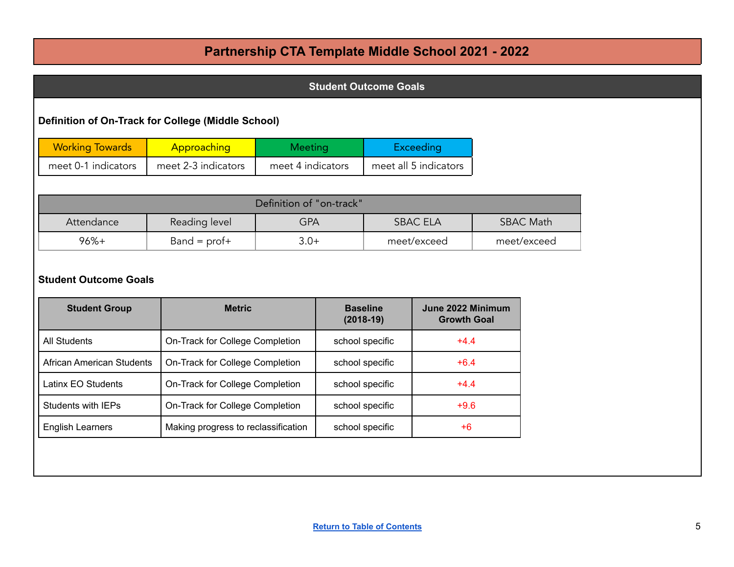| <b>Student Outcome Goals</b>                         |                                 |                          |  |                                |                                         |  |                  |
|------------------------------------------------------|---------------------------------|--------------------------|--|--------------------------------|-----------------------------------------|--|------------------|
| Definition of On-Track for College (Middle School)   |                                 |                          |  |                                |                                         |  |                  |
| <b>Working Towards</b>                               | Approaching                     | Meeting                  |  |                                | <b>Exceeding</b>                        |  |                  |
| meet 0-1 indicators                                  | meet 2-3 indicators             | meet 4 indicators        |  |                                | meet all 5 indicators                   |  |                  |
|                                                      |                                 |                          |  |                                |                                         |  |                  |
|                                                      |                                 | Definition of "on-track" |  |                                |                                         |  |                  |
| Attendance                                           | Reading level                   | <b>GPA</b>               |  |                                | <b>SBAC ELA</b>                         |  | <b>SBAC Math</b> |
| $96%+$                                               | $Band = prof+$                  | $3.0+$                   |  |                                | meet/exceed                             |  | meet/exceed      |
|                                                      |                                 |                          |  |                                |                                         |  |                  |
| <b>Student Outcome Goals</b><br><b>Student Group</b> | <b>Metric</b>                   |                          |  | <b>Baseline</b><br>$(2018-19)$ | June 2022 Minimum<br><b>Growth Goal</b> |  |                  |
| <b>All Students</b>                                  | On-Track for College Completion |                          |  | school specific                | $+4.4$                                  |  |                  |
| <b>African American Students</b>                     | On-Track for College Completion |                          |  | school specific                | $+6.4$                                  |  |                  |
| Latinx EO Students                                   | On-Track for College Completion |                          |  | school specific                | $+4.4$                                  |  |                  |
| <b>Students with IEPs</b>                            | On-Track for College Completion |                          |  | school specific                | $+9.6$                                  |  |                  |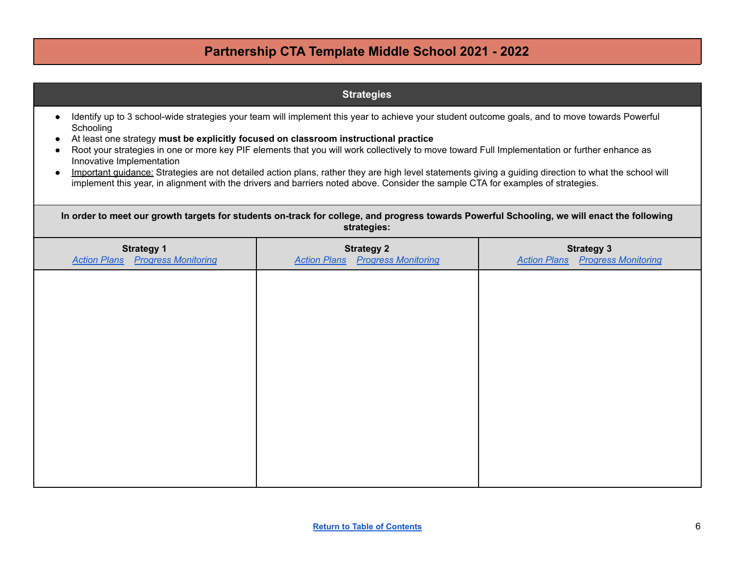| <b>Strategies</b>                                                                                                                                                                                                                                                                                                                                                                                                                                                                                                                                                                                                                                                                                                               |                                                                                                                                                            |                                                              |  |  |  |  |  |
|---------------------------------------------------------------------------------------------------------------------------------------------------------------------------------------------------------------------------------------------------------------------------------------------------------------------------------------------------------------------------------------------------------------------------------------------------------------------------------------------------------------------------------------------------------------------------------------------------------------------------------------------------------------------------------------------------------------------------------|------------------------------------------------------------------------------------------------------------------------------------------------------------|--------------------------------------------------------------|--|--|--|--|--|
| Identify up to 3 school-wide strategies your team will implement this year to achieve your student outcome goals, and to move towards Powerful<br>Schooling<br>At least one strategy must be explicitly focused on classroom instructional practice<br>Root your strategies in one or more key PIF elements that you will work collectively to move toward Full Implementation or further enhance as<br>Innovative Implementation<br>Important guidance: Strategies are not detailed action plans, rather they are high level statements giving a guiding direction to what the school will<br>implement this year, in alignment with the drivers and barriers noted above. Consider the sample CTA for examples of strategies. |                                                                                                                                                            |                                                              |  |  |  |  |  |
|                                                                                                                                                                                                                                                                                                                                                                                                                                                                                                                                                                                                                                                                                                                                 | In order to meet our growth targets for students on-track for college, and progress towards Powerful Schooling, we will enact the following<br>strategies: |                                                              |  |  |  |  |  |
| <b>Strategy 1</b><br><b>Action Plans</b> Progress Monitoring                                                                                                                                                                                                                                                                                                                                                                                                                                                                                                                                                                                                                                                                    | <b>Strategy 2</b><br><b>Action Plans</b> Progress Monitoring                                                                                               | <b>Strategy 3</b><br><b>Action Plans</b> Progress Monitoring |  |  |  |  |  |
|                                                                                                                                                                                                                                                                                                                                                                                                                                                                                                                                                                                                                                                                                                                                 |                                                                                                                                                            |                                                              |  |  |  |  |  |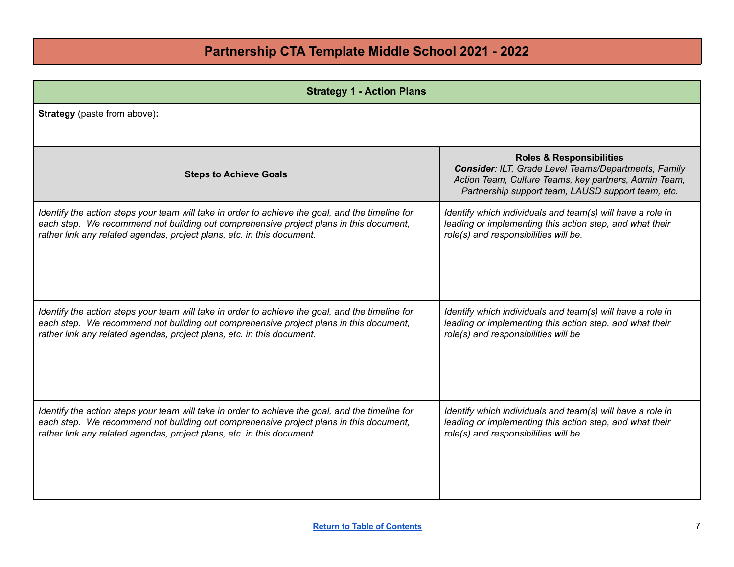<span id="page-6-0"></span>

| <b>Strategy 1 - Action Plans</b>                                                                 |                                                                                                                                                                                                            |  |  |  |
|--------------------------------------------------------------------------------------------------|------------------------------------------------------------------------------------------------------------------------------------------------------------------------------------------------------------|--|--|--|
| <b>Strategy</b> (paste from above):                                                              |                                                                                                                                                                                                            |  |  |  |
| <b>Steps to Achieve Goals</b>                                                                    | <b>Roles &amp; Responsibilities</b><br>Consider: ILT, Grade Level Teams/Departments, Family<br>Action Team, Culture Teams, key partners, Admin Team,<br>Partnership support team, LAUSD support team, etc. |  |  |  |
| Identify the action steps your team will take in order to achieve the goal, and the timeline for | Identify which individuals and team(s) will have a role in                                                                                                                                                 |  |  |  |
| each step. We recommend not building out comprehensive project plans in this document,           | leading or implementing this action step, and what their                                                                                                                                                   |  |  |  |
| rather link any related agendas, project plans, etc. in this document.                           | role(s) and responsibilities will be.                                                                                                                                                                      |  |  |  |
| Identify the action steps your team will take in order to achieve the goal, and the timeline for | Identify which individuals and team(s) will have a role in                                                                                                                                                 |  |  |  |
| each step. We recommend not building out comprehensive project plans in this document,           | leading or implementing this action step, and what their                                                                                                                                                   |  |  |  |
| rather link any related agendas, project plans, etc. in this document.                           | role(s) and responsibilities will be                                                                                                                                                                       |  |  |  |
| Identify the action steps your team will take in order to achieve the goal, and the timeline for | Identify which individuals and team(s) will have a role in                                                                                                                                                 |  |  |  |
| each step. We recommend not building out comprehensive project plans in this document,           | leading or implementing this action step, and what their                                                                                                                                                   |  |  |  |
| rather link any related agendas, project plans, etc. in this document.                           | role(s) and responsibilities will be                                                                                                                                                                       |  |  |  |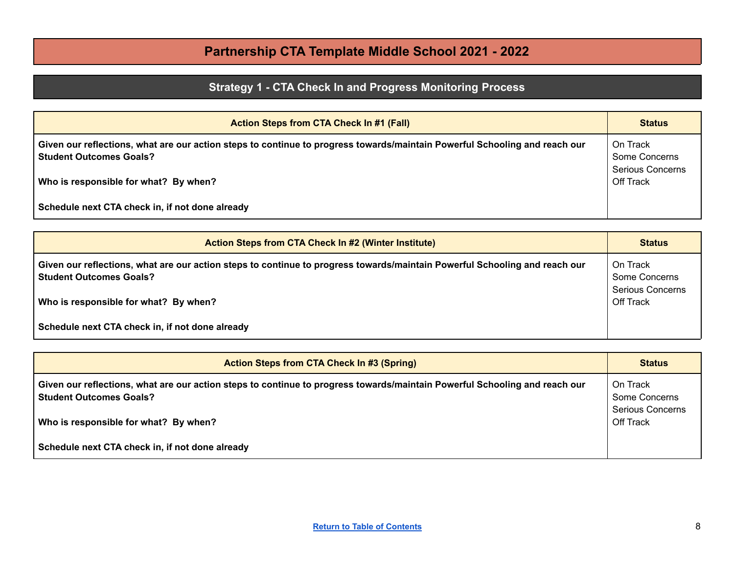## **Strategy 1 - CTA Check In and Progress Monitoring Process**

<span id="page-7-0"></span>

| <b>Action Steps from CTA Check In #1 (Fall)</b>                                                                                                                | <b>Status</b>                                 |
|----------------------------------------------------------------------------------------------------------------------------------------------------------------|-----------------------------------------------|
| Given our reflections, what are our action steps to continue to progress towards/maintain Powerful Schooling and reach our [<br><b>Student Outcomes Goals?</b> | On Track<br>Some Concerns<br>Serious Concerns |
| Who is responsible for what? By when?                                                                                                                          | Off Track                                     |
| Schedule next CTA check in, if not done already                                                                                                                |                                               |

| <b>Action Steps from CTA Check In #2 (Winter Institute)</b>                                                                                             | <b>Status</b>                                 |
|---------------------------------------------------------------------------------------------------------------------------------------------------------|-----------------------------------------------|
| Given our reflections, what are our action steps to continue to progress towards/maintain Powerful Schooling and reach our<br>  Student Outcomes Goals? | On Track<br>Some Concerns<br>Serious Concerns |
| Who is responsible for what? By when?                                                                                                                   | Off Track                                     |
| Schedule next CTA check in, if not done already                                                                                                         |                                               |

| <b>Action Steps from CTA Check In #3 (Spring)</b>                                                                                                            |                                               |
|--------------------------------------------------------------------------------------------------------------------------------------------------------------|-----------------------------------------------|
| Given our reflections, what are our action steps to continue to progress towards/maintain Powerful Schooling and reach our<br><b>Student Outcomes Goals?</b> | On Track<br>Some Concerns<br>Serious Concerns |
| Who is responsible for what? By when?                                                                                                                        | Off Track                                     |
| Schedule next CTA check in, if not done already                                                                                                              |                                               |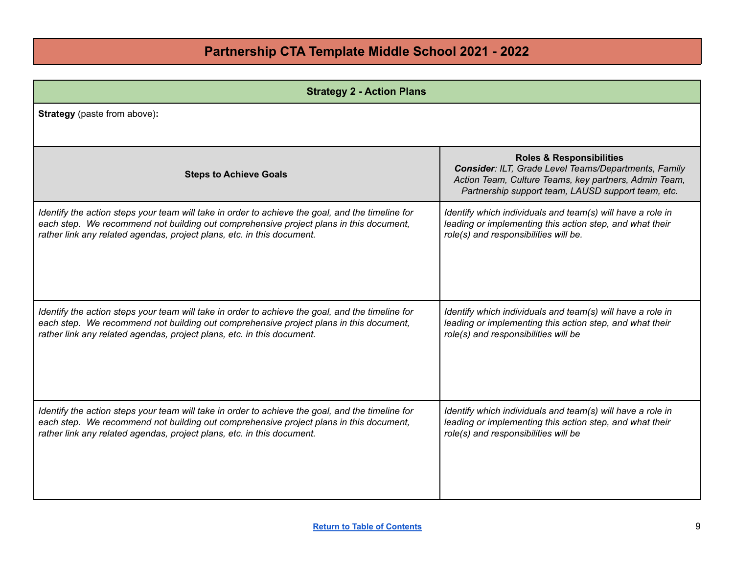<span id="page-8-0"></span>

| <b>Strategy 2 - Action Plans</b>                                                                 |                                                                                                                                                                                                            |
|--------------------------------------------------------------------------------------------------|------------------------------------------------------------------------------------------------------------------------------------------------------------------------------------------------------------|
| <b>Strategy</b> (paste from above):                                                              |                                                                                                                                                                                                            |
| <b>Steps to Achieve Goals</b>                                                                    | <b>Roles &amp; Responsibilities</b><br>Consider: ILT, Grade Level Teams/Departments, Family<br>Action Team, Culture Teams, key partners, Admin Team,<br>Partnership support team, LAUSD support team, etc. |
| Identify the action steps your team will take in order to achieve the goal, and the timeline for | Identify which individuals and team(s) will have a role in                                                                                                                                                 |
| each step. We recommend not building out comprehensive project plans in this document,           | leading or implementing this action step, and what their                                                                                                                                                   |
| rather link any related agendas, project plans, etc. in this document.                           | role(s) and responsibilities will be.                                                                                                                                                                      |
| Identify the action steps your team will take in order to achieve the goal, and the timeline for | Identify which individuals and team(s) will have a role in                                                                                                                                                 |
| each step. We recommend not building out comprehensive project plans in this document,           | leading or implementing this action step, and what their                                                                                                                                                   |
| rather link any related agendas, project plans, etc. in this document.                           | role(s) and responsibilities will be                                                                                                                                                                       |
| Identify the action steps your team will take in order to achieve the goal, and the timeline for | Identify which individuals and team(s) will have a role in                                                                                                                                                 |
| each step. We recommend not building out comprehensive project plans in this document,           | leading or implementing this action step, and what their                                                                                                                                                   |
| rather link any related agendas, project plans, etc. in this document.                           | role(s) and responsibilities will be                                                                                                                                                                       |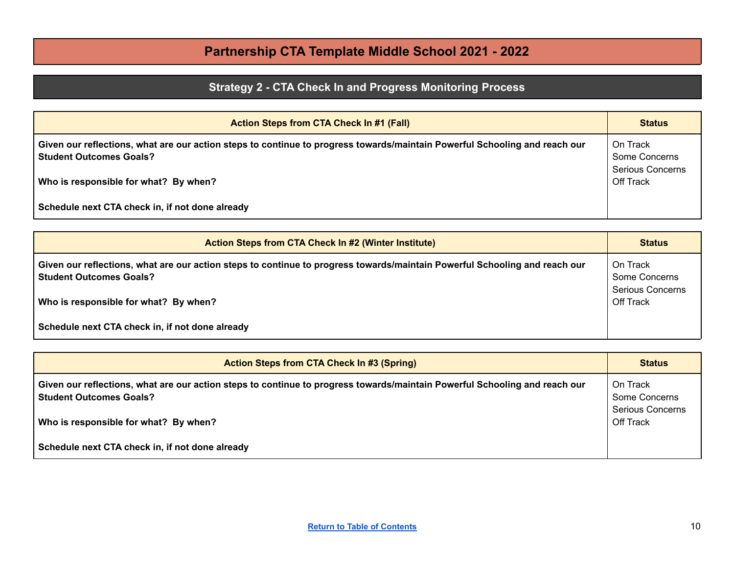## **Strategy 2 - CTA Check In and Progress Monitoring Process**

<span id="page-9-0"></span>

| <b>Action Steps from CTA Check In #1 (Fall)</b>                                                                                                                | <b>Status</b>                                 |
|----------------------------------------------------------------------------------------------------------------------------------------------------------------|-----------------------------------------------|
| Given our reflections, what are our action steps to continue to progress towards/maintain Powerful Schooling and reach our [<br><b>Student Outcomes Goals?</b> | On Track<br>Some Concerns<br>Serious Concerns |
| Who is responsible for what? By when?                                                                                                                          | Off Track                                     |
| Schedule next CTA check in, if not done already                                                                                                                |                                               |

| <b>Action Steps from CTA Check In #2 (Winter Institute)</b>                                                                                             | <b>Status</b>                                 |
|---------------------------------------------------------------------------------------------------------------------------------------------------------|-----------------------------------------------|
| Given our reflections, what are our action steps to continue to progress towards/maintain Powerful Schooling and reach our<br>  Student Outcomes Goals? | On Track<br>Some Concerns<br>Serious Concerns |
| Who is responsible for what? By when?                                                                                                                   | Off Track                                     |
| Schedule next CTA check in, if not done already                                                                                                         |                                               |

| <b>Action Steps from CTA Check In #3 (Spring)</b>                                                                                                            | <b>Status</b>                                 |
|--------------------------------------------------------------------------------------------------------------------------------------------------------------|-----------------------------------------------|
| Given our reflections, what are our action steps to continue to progress towards/maintain Powerful Schooling and reach our<br><b>Student Outcomes Goals?</b> | On Track<br>Some Concerns<br>Serious Concerns |
| Who is responsible for what? By when?                                                                                                                        | Off Track                                     |
| Schedule next CTA check in, if not done already                                                                                                              |                                               |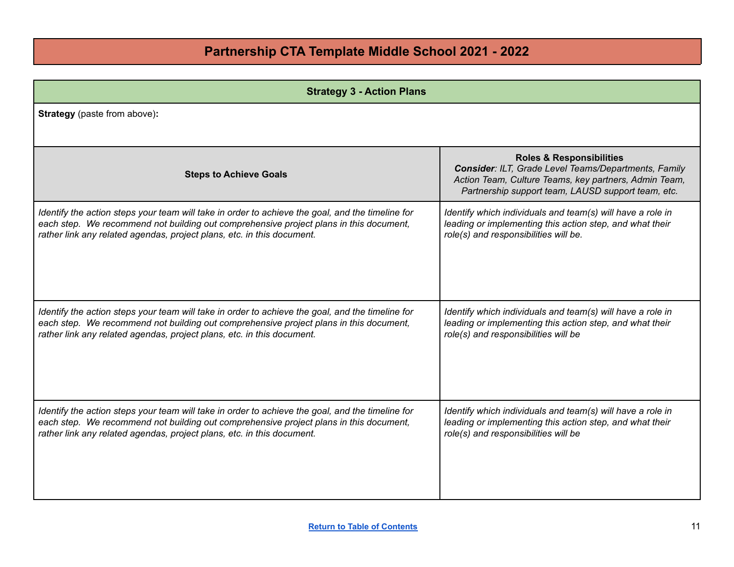<span id="page-10-0"></span>

| <b>Strategy 3 - Action Plans</b>                                                                 |                                                                                                                                                                                                            |
|--------------------------------------------------------------------------------------------------|------------------------------------------------------------------------------------------------------------------------------------------------------------------------------------------------------------|
| <b>Strategy</b> (paste from above):                                                              |                                                                                                                                                                                                            |
| <b>Steps to Achieve Goals</b>                                                                    | <b>Roles &amp; Responsibilities</b><br>Consider: ILT, Grade Level Teams/Departments, Family<br>Action Team, Culture Teams, key partners, Admin Team,<br>Partnership support team, LAUSD support team, etc. |
| Identify the action steps your team will take in order to achieve the goal, and the timeline for | Identify which individuals and team(s) will have a role in                                                                                                                                                 |
| each step. We recommend not building out comprehensive project plans in this document,           | leading or implementing this action step, and what their                                                                                                                                                   |
| rather link any related agendas, project plans, etc. in this document.                           | role(s) and responsibilities will be.                                                                                                                                                                      |
| Identify the action steps your team will take in order to achieve the goal, and the timeline for | Identify which individuals and team(s) will have a role in                                                                                                                                                 |
| each step. We recommend not building out comprehensive project plans in this document,           | leading or implementing this action step, and what their                                                                                                                                                   |
| rather link any related agendas, project plans, etc. in this document.                           | role(s) and responsibilities will be                                                                                                                                                                       |
| Identify the action steps your team will take in order to achieve the goal, and the timeline for | Identify which individuals and team(s) will have a role in                                                                                                                                                 |
| each step. We recommend not building out comprehensive project plans in this document,           | leading or implementing this action step, and what their                                                                                                                                                   |
| rather link any related agendas, project plans, etc. in this document.                           | role(s) and responsibilities will be                                                                                                                                                                       |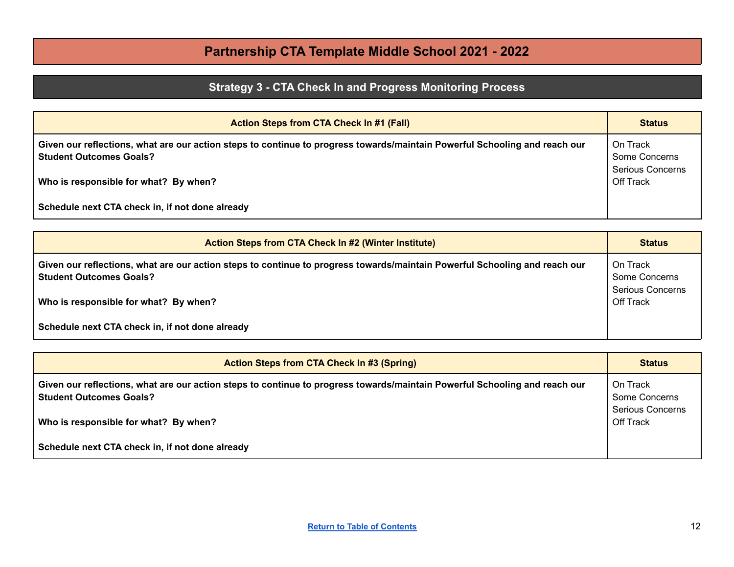## **Strategy 3 - CTA Check In and Progress Monitoring Process**

<span id="page-11-0"></span>

| <b>Action Steps from CTA Check In #1 (Fall)</b>                                                                                                                | <b>Status</b>                                 |
|----------------------------------------------------------------------------------------------------------------------------------------------------------------|-----------------------------------------------|
| Given our reflections, what are our action steps to continue to progress towards/maintain Powerful Schooling and reach our  <br><b>Student Outcomes Goals?</b> | On Track<br>Some Concerns<br>Serious Concerns |
| Who is responsible for what? By when?                                                                                                                          | Off Track                                     |
| Schedule next CTA check in, if not done already                                                                                                                |                                               |

| <b>Action Steps from CTA Check In #2 (Winter Institute)</b>                                                                                                  | <b>Status</b>                                        |
|--------------------------------------------------------------------------------------------------------------------------------------------------------------|------------------------------------------------------|
| Given our reflections, what are our action steps to continue to progress towards/maintain Powerful Schooling and reach our<br><b>Student Outcomes Goals?</b> | On Track<br>Some Concerns<br><b>Serious Concerns</b> |
| Who is responsible for what? By when?                                                                                                                        | Off Track                                            |
| Schedule next CTA check in, if not done already                                                                                                              |                                                      |

| <b>Action Steps from CTA Check In #3 (Spring)</b>                                                                                                            | <b>Status</b>                        |
|--------------------------------------------------------------------------------------------------------------------------------------------------------------|--------------------------------------|
| Given our reflections, what are our action steps to continue to progress towards/maintain Powerful Schooling and reach our<br><b>Student Outcomes Goals?</b> | On Track<br>Some Concerns            |
| Who is responsible for what? By when?                                                                                                                        | <b>Serious Concerns</b><br>Off Track |
| Schedule next CTA check in, if not done already                                                                                                              |                                      |